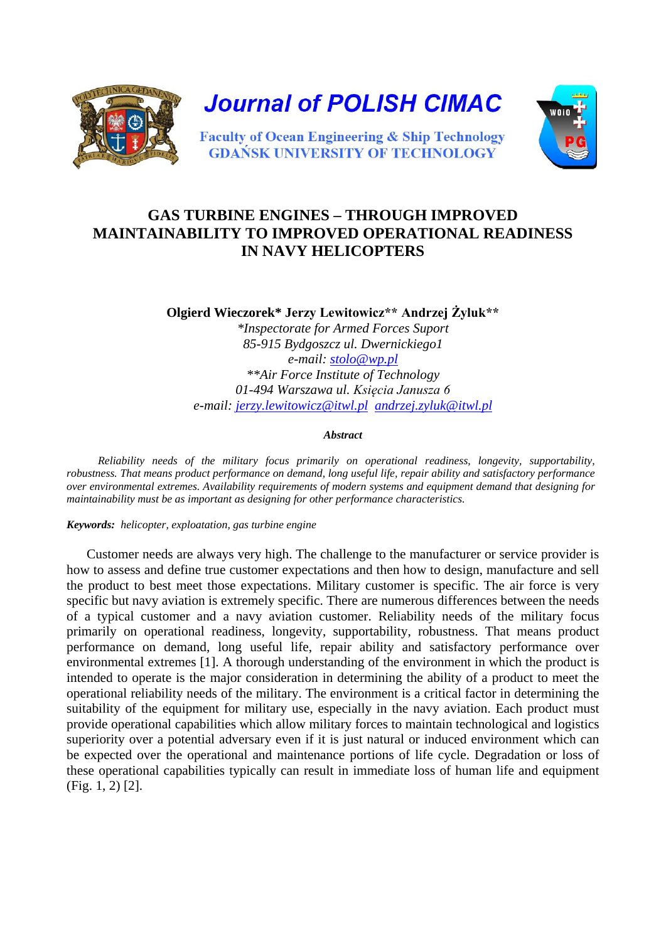

**Journal of POLISH CIMAC** 



**Faculty of Ocean Engineering & Ship Technology GDANSK UNIVERSITY OF TECHNOLOGY** 

## **GAS TURBINE ENGINES – THROUGH IMPROVED MAINTAINABILITY TO IMPROVED OPERATIONAL READINESS IN NAVY HELICOPTERS**

**Olgierd Wieczorek\* Jerzy Lewitowicz\*\* Andrzej Żyluk\*\*** *\*Inspectorate for Armed Forces Suport 85-915 Bydgoszcz ul. Dwernickiego1 e-mail: [stolo@wp.pl](mailto:stolo@wp.pl) \*\*Air Force Institute of Technology 01-494 Warszawa ul. Księcia Janusza 6 e-mail: [jerzy.lewitowicz@itwl.pl](mailto:jerzy.lewitowicz@itwl.pl) [andrzej.zyluk@itwl.pl](mailto:andrzej.zyluk@itwl.pl)* 

## *Abstract*

 *Reliability needs of the military focus primarily on operational readiness, longevity, supportability, robustness. That means product performance on demand, long useful life, repair ability and satisfactory performance over environmental extremes. Availability requirements of modern systems and equipment demand that designing for maintainability must be as important as designing for other performance characteristics.*

*Keywords: helicopter, exploatation, gas turbine engine*

Customer needs are always very high. The challenge to the manufacturer or service provider is how to assess and define true customer expectations and then how to design, manufacture and sell the product to best meet those expectations. Military customer is specific. The air force is very specific but navy aviation is extremely specific. There are numerous differences between the needs of a typical customer and a navy aviation customer. Reliability needs of the military focus primarily on operational readiness, longevity, supportability, robustness. That means product performance on demand, long useful life, repair ability and satisfactory performance over environmental extremes [1]. A thorough understanding of the environment in which the product is intended to operate is the major consideration in determining the ability of a product to meet the operational reliability needs of the military. The environment is a critical factor in determining the suitability of the equipment for military use, especially in the navy aviation. Each product must provide operational capabilities which allow military forces to maintain technological and logistics superiority over a potential adversary even if it is just natural or induced environment which can be expected over the operational and maintenance portions of life cycle. Degradation or loss of these operational capabilities typically can result in immediate loss of human life and equipment (Fig. 1, 2) [2].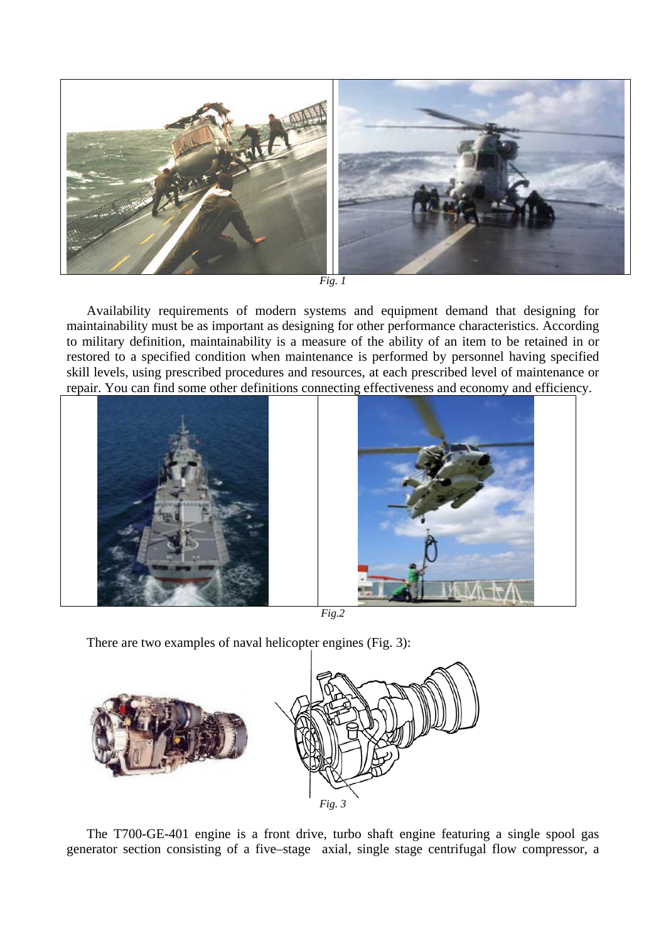

*Fig. 1*

Availability requirements of modern systems and equipment demand that designing for maintainability must be as important as designing for other performance characteristics. According to military definition, maintainability is a measure of the ability of an item to be retained in or restored to a specified condition when maintenance is performed by personnel having specified skill levels, using prescribed procedures and resources, at each prescribed level of maintenance or repair. You can find some other definitions connecting effectiveness and economy and efficiency.



*Fig.2*

There are two examples of naval helicopter engines (Fig. 3):



The T700-GE-401 engine is a front drive, turbo shaft engine featuring a single spool gas generator section consisting of a five–stage axial, single stage centrifugal flow compressor, a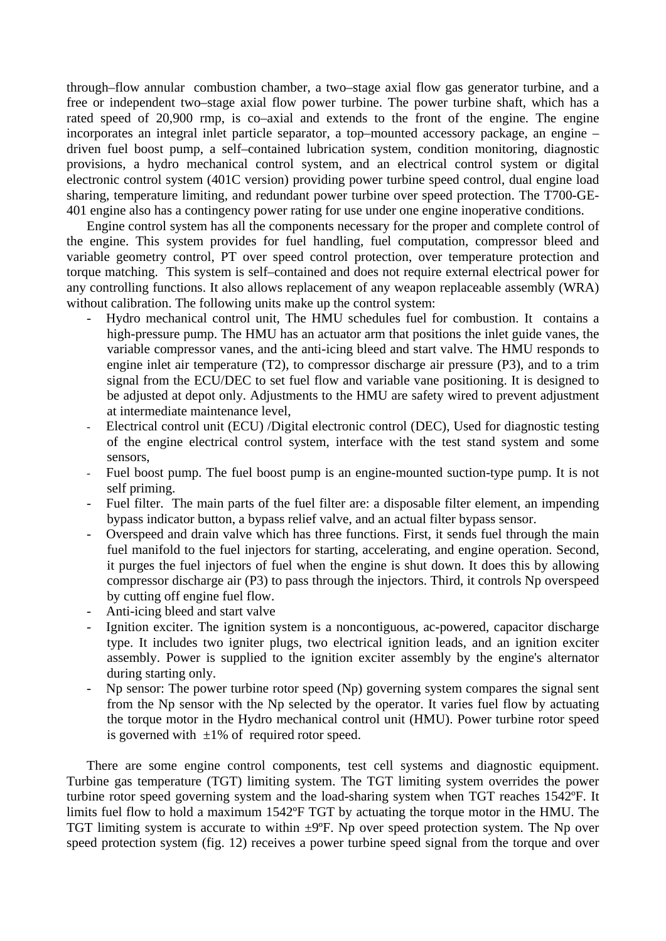through–flow annular combustion chamber, a two–stage axial flow gas generator turbine, and a free or independent two–stage axial flow power turbine. The power turbine shaft, which has a rated speed of 20,900 rmp, is co–axial and extends to the front of the engine. The engine incorporates an integral inlet particle separator, a top–mounted accessory package, an engine – driven fuel boost pump, a self–contained lubrication system, condition monitoring, diagnostic provisions, a hydro mechanical control system, and an electrical control system or digital electronic control system (401C version) providing power turbine speed control, dual engine load sharing, temperature limiting, and redundant power turbine over speed protection. The T700-GE-401 engine also has a contingency power rating for use under one engine inoperative conditions.

Engine control system has all the components necessary for the proper and complete control of the engine. This system provides for fuel handling, fuel computation, compressor bleed and variable geometry control, PT over speed control protection, over temperature protection and torque matching. This system is self–contained and does not require external electrical power for any controlling functions. It also allows replacement of any weapon replaceable assembly (WRA) without calibration. The following units make up the control system:

- Hydro mechanical control unit, The HMU schedules fuel for combustion. It contains a high-pressure pump. The HMU has an actuator arm that positions the inlet guide vanes, the variable compressor vanes, and the anti-icing bleed and start valve. The HMU responds to engine inlet air temperature (T2), to compressor discharge air pressure (P3), and to a trim signal from the ECU/DEC to set fuel flow and variable vane positioning. It is designed to be adjusted at depot only. Adjustments to the HMU are safety wired to prevent adjustment at intermediate maintenance level,
- Electrical control unit (ECU) /Digital electronic control (DEC), Used for diagnostic testing of the engine electrical control system, interface with the test stand system and some sensors,
- Fuel boost pump. The fuel boost pump is an engine-mounted suction-type pump. It is not self priming.
- Fuel filter. The main parts of the fuel filter are: a disposable filter element, an impending bypass indicator button, a bypass relief valve, and an actual filter bypass sensor.
- Overspeed and drain valve which has three functions. First, it sends fuel through the main fuel manifold to the fuel injectors for starting, accelerating, and engine operation. Second, it purges the fuel injectors of fuel when the engine is shut down. It does this by allowing compressor discharge air (P3) to pass through the injectors. Third, it controls Np overspeed by cutting off engine fuel flow.
- Anti-icing bleed and start valve
- Ignition exciter. The ignition system is a noncontiguous, ac-powered, capacitor discharge type. It includes two igniter plugs, two electrical ignition leads, and an ignition exciter assembly. Power is supplied to the ignition exciter assembly by the engine's alternator during starting only.
- Np sensor: The power turbine rotor speed (Np) governing system compares the signal sent from the Np sensor with the Np selected by the operator. It varies fuel flow by actuating the torque motor in the Hydro mechanical control unit (HMU). Power turbine rotor speed is governed with  $\pm 1\%$  of required rotor speed.

There are some engine control components, test cell systems and diagnostic equipment. Turbine gas temperature (TGT) limiting system. The TGT limiting system overrides the power turbine rotor speed governing system and the load-sharing system when TGT reaches 1542ºF. It limits fuel flow to hold a maximum 1542ºF TGT by actuating the torque motor in the HMU. The TGT limiting system is accurate to within  $\pm 9^{\circ}$ F. Np over speed protection system. The Np over speed protection system (fig. 12) receives a power turbine speed signal from the torque and over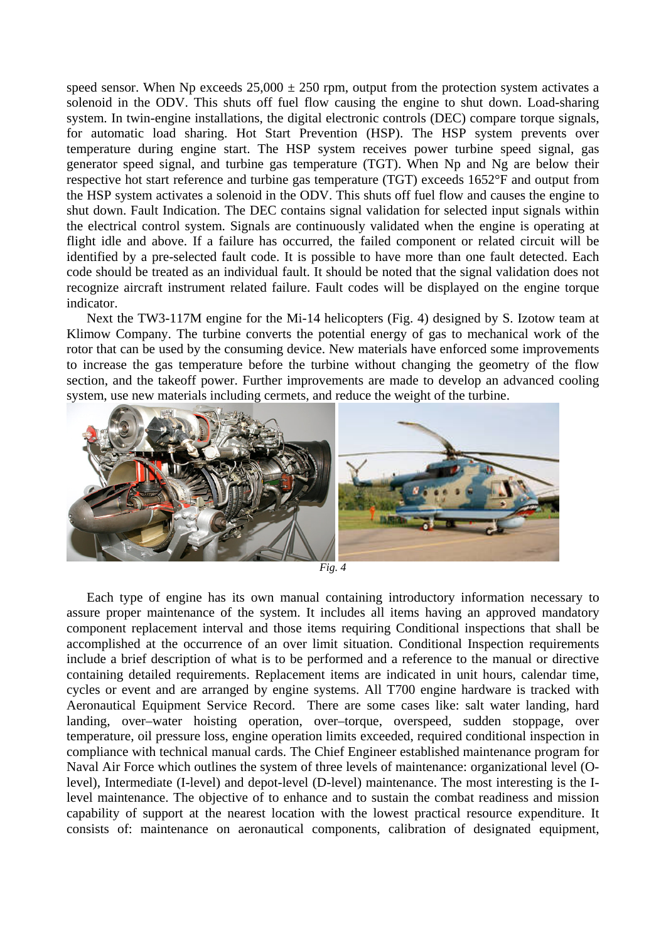speed sensor. When Np exceeds  $25,000 \pm 250$  rpm, output from the protection system activates a solenoid in the ODV. This shuts off fuel flow causing the engine to shut down. Load-sharing system. In twin-engine installations, the digital electronic controls (DEC) compare torque signals, for automatic load sharing. Hot Start Prevention (HSP). The HSP system prevents over temperature during engine start. The HSP system receives power turbine speed signal, gas generator speed signal, and turbine gas temperature (TGT). When Np and Ng are below their respective hot start reference and turbine gas temperature (TGT) exceeds 1652°F and output from the HSP system activates a solenoid in the ODV. This shuts off fuel flow and causes the engine to shut down. Fault Indication. The DEC contains signal validation for selected input signals within the electrical control system. Signals are continuously validated when the engine is operating at flight idle and above. If a failure has occurred, the failed component or related circuit will be identified by a pre-selected fault code. It is possible to have more than one fault detected. Each code should be treated as an individual fault. It should be noted that the signal validation does not recognize aircraft instrument related failure. Fault codes will be displayed on the engine torque indicator.

Next the TW3-117M engine for the Mi-14 helicopters (Fig. 4) designed by S. Izotow team at Klimow Company. The turbine converts the potential energy of gas to mechanical work of the rotor that can be used by the consuming device. New materials have enforced some improvements to increase the gas temperature before the turbine without changing the geometry of the flow section, and the takeoff power. Further improvements are made to develop an advanced cooling system, use new materials including cermets, and reduce the weight of the turbine.



Each type of engine has its own manual containing introductory information necessary to assure proper maintenance of the system. It includes all items having an approved mandatory component replacement interval and those items requiring Conditional inspections that shall be accomplished at the occurrence of an over limit situation. Conditional Inspection requirements include a brief description of what is to be performed and a reference to the manual or directive containing detailed requirements. Replacement items are indicated in unit hours, calendar time, cycles or event and are arranged by engine systems. All T700 engine hardware is tracked with Aeronautical Equipment Service Record. There are some cases like: salt water landing, hard landing, over–water hoisting operation, over–torque, overspeed, sudden stoppage, over temperature, oil pressure loss, engine operation limits exceeded, required conditional inspection in compliance with technical manual cards. The Chief Engineer established maintenance program for Naval Air Force which outlines the system of three levels of maintenance: organizational level (Olevel), Intermediate (I-level) and depot-level (D-level) maintenance. The most interesting is the Ilevel maintenance. The objective of to enhance and to sustain the combat readiness and mission capability of support at the nearest location with the lowest practical resource expenditure. It consists of: maintenance on aeronautical components, calibration of designated equipment,